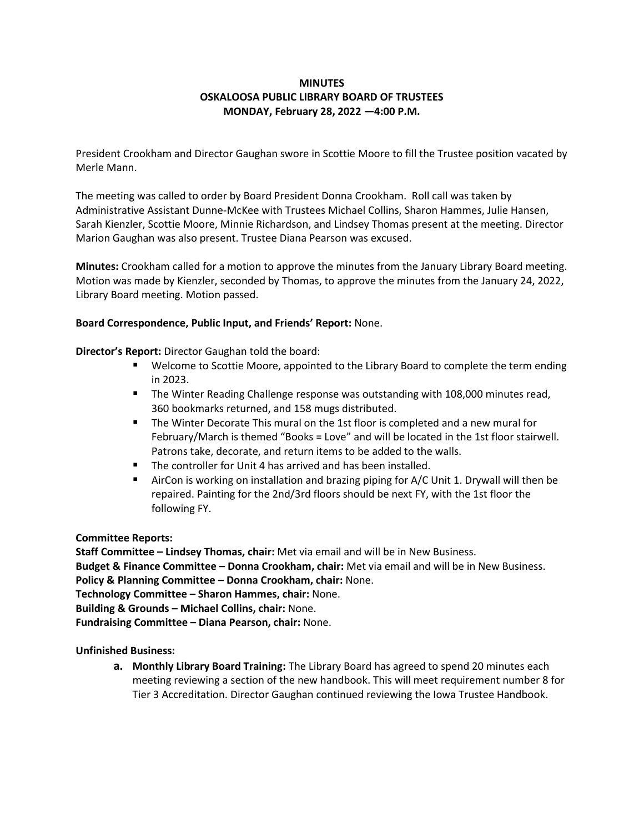# **MINUTES OSKALOOSA PUBLIC LIBRARY BOARD OF TRUSTEES MONDAY, February 28, 2022 —4:00 P.M.**

President Crookham and Director Gaughan swore in Scottie Moore to fill the Trustee position vacated by Merle Mann.

The meeting was called to order by Board President Donna Crookham. Roll call was taken by Administrative Assistant Dunne-McKee with Trustees Michael Collins, Sharon Hammes, Julie Hansen, Sarah Kienzler, Scottie Moore, Minnie Richardson, and Lindsey Thomas present at the meeting. Director Marion Gaughan was also present. Trustee Diana Pearson was excused.

**Minutes:** Crookham called for a motion to approve the minutes from the January Library Board meeting. Motion was made by Kienzler, seconded by Thomas, to approve the minutes from the January 24, 2022, Library Board meeting. Motion passed.

## **Board Correspondence, Public Input, and Friends' Report:** None.

## **Director's Report:** Director Gaughan told the board:

- Welcome to Scottie Moore, appointed to the Library Board to complete the term ending in 2023.
- **The Winter Reading Challenge response was outstanding with 108,000 minutes read,** 360 bookmarks returned, and 158 mugs distributed.
- The Winter Decorate This mural on the 1st floor is completed and a new mural for February/March is themed "Books = Love" and will be located in the 1st floor stairwell. Patrons take, decorate, and return items to be added to the walls.
- The controller for Unit 4 has arrived and has been installed.
- AirCon is working on installation and brazing piping for A/C Unit 1. Drywall will then be repaired. Painting for the 2nd/3rd floors should be next FY, with the 1st floor the following FY.

## **Committee Reports:**

**Staff Committee – Lindsey Thomas, chair:** Met via email and will be in New Business. **Budget & Finance Committee – Donna Crookham, chair:** Met via email and will be in New Business. **Policy & Planning Committee – Donna Crookham, chair:** None. **Technology Committee – Sharon Hammes, chair:** None. **Building & Grounds – Michael Collins, chair:** None. **Fundraising Committee – Diana Pearson, chair:** None.

**Unfinished Business:**

**a. Monthly Library Board Training:** The Library Board has agreed to spend 20 minutes each meeting reviewing a section of the new handbook. This will meet requirement number 8 for Tier 3 Accreditation. Director Gaughan continued reviewing the Iowa Trustee Handbook.